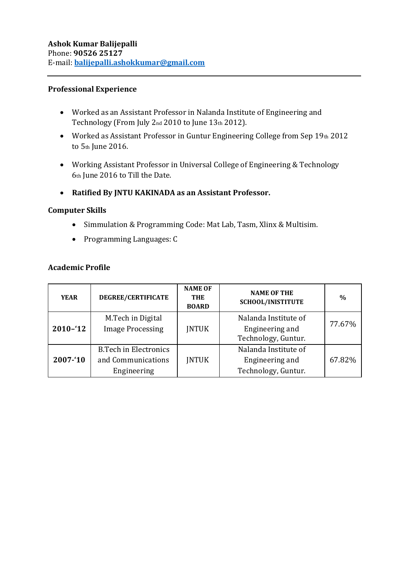#### **Professional Experience**

- Worked as an Assistant Professor in Nalanda Institute of Engineering and Technology (From July 2nd 2010 to June 13th 2012).
- Worked as Assistant Professor in Guntur Engineering College from Sep 19th 2012 to 5th June 2016.
- Working Assistant Professor in Universal College of Engineering & Technology 6th June 2016 to Till the Date.
- **Ratified By JNTU KAKINADA as an Assistant Professor.**

#### **Computer Skills**

- Simmulation & Programming Code: Mat Lab, Tasm, Xlinx & Multisim.
- Programming Languages: C

#### **Academic Profile**

| <b>YEAR</b> | DEGREE/CERTIFICATE                                                | <b>NAME OF</b><br><b>THE</b><br><b>BOARD</b> | <b>NAME OF THE</b><br>SCHOOL/INISTITUTE                        | $\%$   |
|-------------|-------------------------------------------------------------------|----------------------------------------------|----------------------------------------------------------------|--------|
| $2010 - 12$ | M.Tech in Digital<br><b>Image Processing</b>                      | <b>JNTUK</b>                                 | Nalanda Institute of<br>Engineering and<br>Technology, Guntur. | 77.67% |
| 2007-'10    | <b>B.Tech in Electronics</b><br>and Communications<br>Engineering | <b>INTUK</b>                                 | Nalanda Institute of<br>Engineering and<br>Technology, Guntur. | 67.82% |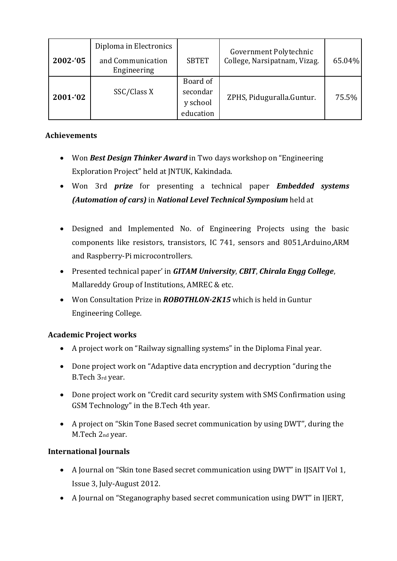| 2002-'05 | Diploma in Electronics<br>and Communication<br>Engineering | <b>SBTET</b>                                  | Government Polytechnic<br>College, Narsipatnam, Vizag. | 65.04% |
|----------|------------------------------------------------------------|-----------------------------------------------|--------------------------------------------------------|--------|
| 2001-'02 | SSC/Class X                                                | Board of<br>secondar<br>y school<br>education | ZPHS, Piduguralla.Guntur.                              | 75.5%  |

## **Achievements**

- Won *Best Design Thinker Award* in Two days workshop on "Engineering Exploration Project" held at JNTUK, Kakindada.
- Won 3rd *prize* for presenting a technical paper *Embedded systems (Automation of cars)* in *National Level Technical Symposium* held at
- Designed and Implemented No. of Engineering Projects using the basic components like resistors, transistors, IC 741, sensors and 8051,Arduino,ARM and Raspberry-Pi microcontrollers.
- Presented technical paper' in *GITAM University*, *CBIT*, *Chirala Engg College*, Mallareddy Group of Institutions, AMREC & etc.
- Won Consultation Prize in *ROBOTHLON-2K15* which is held in Guntur Engineering College.

# **Academic Project works**

- A project work on "Railway signalling systems" in the Diploma Final year.
- Done project work on "Adaptive data encryption and decryption "during the B.Tech 3rd year.
- Done project work on "Credit card security system with SMS Confirmation using GSM Technology" in the B.Tech 4th year.
- A project on "Skin Tone Based secret communication by using DWT", during the M.Tech 2nd year.

# **International Journals**

- A Journal on "Skin tone Based secret communication using DWT" in IJSAIT Vol 1, Issue 3, July-August 2012.
- A Journal on "Steganography based secret communication using DWT" in IJERT,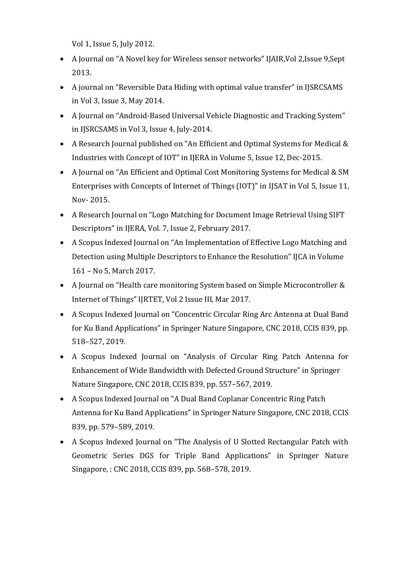Vol 1, Issue 5, July 2012.

- A Journal on "A Novel key for Wireless sensor networks" IJAIR,Vol 2,Issue 9,Sept 2013.
- A journal on "Reversible Data Hiding with optimal value transfer" in IJSRCSAMS in Vol 3, Issue 3, May 2014.
- A Journal on "Android-Based Universal Vehicle Diagnostic and Tracking System" in IJSRCSAMS in Vol 3, Issue 4, July-2014.
- A Research Journal published on "An Efficient and Optimal Systems for Medical & Industries with Concept of IOT" in IJERA in Volume 5, Issue 12, Dec-2015.
- A Journal on "An Efficient and Optimal Cost Monitoring Systems for Medical & SM Enterprises with Concepts of Internet of Things (IOT)" in IJSAT in Vol 5, Issue 11, Nov- 2015.
- A Research Journal on "Logo Matching for Document Image Retrieval Using SIFT Descriptors" in IJERA, Vol. 7, Issue 2, February 2017.
- A Scopus Indexed Journal on "An Implementation of Effective Logo Matching and Detection using Multiple Descriptors to Enhance the Resolution" IJCA in Volume 161 – No 5, March 2017.
- A Journal on "Health care monitoring System based on Simple Microcontroller & Internet of Things" IJRTET, Vol 2 Issue III, Mar 2017.
- A Scopus Indexed Journal on "Concentric Circular Ring Arc Antenna at Dual Band for Ku Band Applications" in Springer Nature Singapore, CNC 2018, CCIS 839, pp. 518–527, 2019.
- A Scopus Indexed Journal on "Analysis of Circular Ring Patch Antenna for Enhancement of Wide Bandwidth with Defected Ground Structure" in Springer Nature Singapore, CNC 2018, CCIS 839, pp. 557–567, 2019.
- A Scopus Indexed Journal on "A Dual Band Coplanar Concentric Ring Patch Antenna for Ku Band Applications" in Springer Nature Singapore, CNC 2018, CCIS 839, pp. 579–589, 2019.
- A Scopus Indexed Journal on "The Analysis of U Slotted Rectangular Patch with Geometric Series DGS for Triple Band Applications" in Springer Nature Singapore, : CNC 2018, CCIS 839, pp. 568–578, 2019.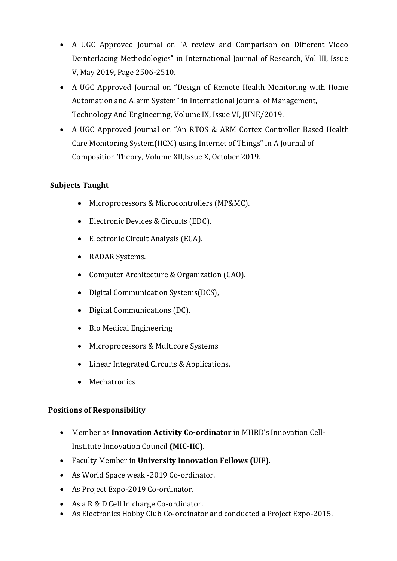- A UGC Approved Journal on "A review and Comparison on Different Video Deinterlacing Methodologies" in International Journal of Research, Vol III, Issue V, May 2019, Page 2506-2510.
- A UGC Approved Journal on "Design of Remote Health Monitoring with Home Automation and Alarm System" in International Journal of Management, Technology And Engineering, Volume IX, Issue VI, JUNE/2019.
- A UGC Approved Journal on "An RTOS & ARM Cortex Controller Based Health Care Monitoring System(HCM) using Internet of Things" in A Journal of Composition Theory, Volume XII,Issue X, October 2019.

### **Subjects Taught**

- Microprocessors & Microcontrollers (MP&MC).
- Electronic Devices & Circuits (EDC).
- Electronic Circuit Analysis (ECA).
- RADAR Systems.
- Computer Architecture & Organization (CAO).
- Digital Communication Systems(DCS),
- Digital Communications (DC).
- Bio Medical Engineering
- Microprocessors & Multicore Systems
- Linear Integrated Circuits & Applications.
- Mechatronics

### **Positions of Responsibility**

- Member as **Innovation Activity Co-ordinator** in MHRD's Innovation Cell-Institute Innovation Council **(MIC-IIC)**.
- Faculty Member in **University Innovation Fellows (UIF)**.
- As World Space weak -2019 Co-ordinator.
- As Project Expo-2019 Co-ordinator.
- As a R & D Cell In charge Co-ordinator.
- As Electronics Hobby Club Co-ordinator and conducted a Project Expo-2015.